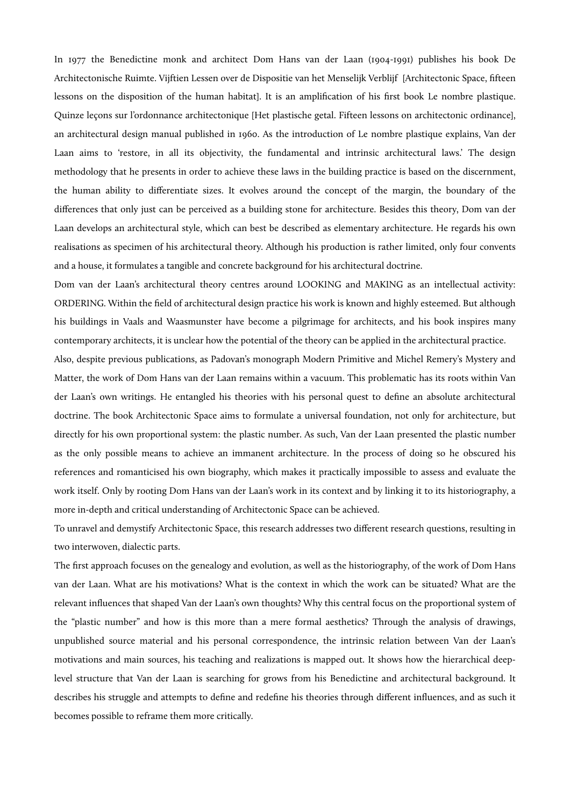In 1977 the Benedictine monk and architect Dom Hans van der Laan (1904-1991) publishes his book De Architectonische Ruimte. Vijftien Lessen over de Dispositie van het Menselijk Verblijf [Architectonic Space, fifteen lessons on the disposition of the human habitat]. It is an amplification of his first book Le nombre plastique. Quinze leçons sur l'ordonnance architectonique [Het plastische getal. Fifteen lessons on architectonic ordinance], an architectural design manual published in 1960. As the introduction of Le nombre plastique explains, Van der Laan aims to 'restore, in all its objectivity, the fundamental and intrinsic architectural laws.' The design methodology that he presents in order to achieve these laws in the building practice is based on the discernment, the human ability to differentiate sizes. It evolves around the concept of the margin, the boundary of the differences that only just can be perceived as a building stone for architecture. Besides this theory, Dom van der Laan develops an architectural style, which can best be described as elementary architecture. He regards his own realisations as specimen of his architectural theory. Although his production is rather limited, only four convents and a house, it formulates a tangible and concrete background for his architectural doctrine.

Dom van der Laan's architectural theory centres around LOOKING and MAKING as an intellectual activity: ORDERING. Within the field of architectural design practice his work is known and highly esteemed. But although his buildings in Vaals and Waasmunster have become a pilgrimage for architects, and his book inspires many contemporary architects, it is unclear how the potential of the theory can be applied in the architectural practice.

Also, despite previous publications, as Padovan's monograph Modern Primitive and Michel Remery's Mystery and Matter, the work of Dom Hans van der Laan remains within a vacuum. This problematic has its roots within Van der Laan's own writings. He entangled his theories with his personal quest to define an absolute architectural doctrine. The book Architectonic Space aims to formulate a universal foundation, not only for architecture, but directly for his own proportional system: the plastic number. As such, Van der Laan presented the plastic number as the only possible means to achieve an immanent architecture. In the process of doing so he obscured his references and romanticised his own biography, which makes it practically impossible to assess and evaluate the work itself. Only by rooting Dom Hans van der Laan's work in its context and by linking it to its historiography, a more in-depth and critical understanding of Architectonic Space can be achieved.

To unravel and demystify Architectonic Space, this research addresses two different research questions, resulting in two interwoven, dialectic parts.

The first approach focuses on the genealogy and evolution, as well as the historiography, of the work of Dom Hans van der Laan. What are his motivations? What is the context in which the work can be situated? What are the relevant influences that shaped Van der Laan's own thoughts? Why this central focus on the proportional system of the "plastic number" and how is this more than a mere formal aesthetics? Through the analysis of drawings, unpublished source material and his personal correspondence, the intrinsic relation between Van der Laan's motivations and main sources, his teaching and realizations is mapped out. It shows how the hierarchical deeplevel structure that Van der Laan is searching for grows from his Benedictine and architectural background. It describes his struggle and attempts to define and redefine his theories through different influences, and as such it becomes possible to reframe them more critically.